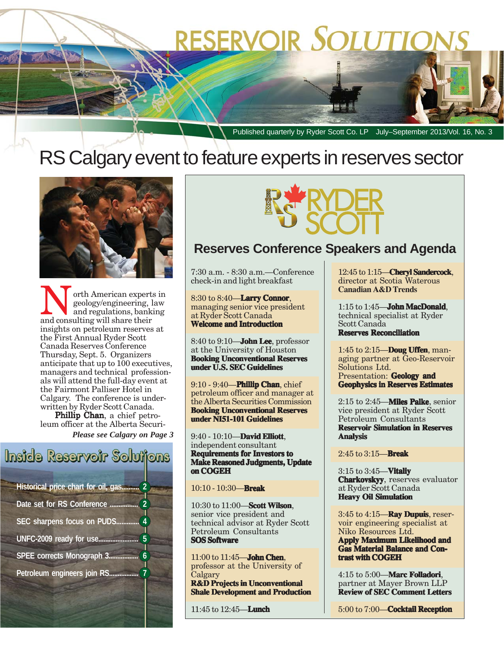# **RESERVOIR SOLUTIONS**

Published quarterly by Ryder Scott Co. LP July–September 2013/Vol. 16, No. 3

## RS Calgary event to feature experts in reserves sector



orth American experts in and regulations, banking and consulting will share their insights on petroleum reserves at the First Annual Ryder Scott Canada Reserves Conference Thursday, Sept. 5. Organizers anticipate that up to 100 executives, managers and technical professionals will attend the full-day event at the Fairmont Palliser Hotel in Calgary. The conference is underwritten by Ryder Scott Canada.

Phillip Chan, a chief petroleum officer at the Alberta Securi-

*Please see Calgary on Page 3*







### **Reserves Conference Speakers and Agenda**

7:30 a.m. - 8:30 a.m.—Conference check-in and light breakfast

8:30 to 8:40—**Larry Connor**, managing senior vice president at Ryder Scott Canada **Welcome and Introduction**

8:40 to 9:10—**John Lee**, professor at the University of Houston **Booking Unconventional Reserves under U.S. SEC Guidelines**

9:10 - 9:40—**Phillip Chan**, chief petroleum officer and manager at the Alberta Securities Commission **Booking Unconventional Reserves under NI51-101 Guidelines**

9:40 - 10:10—**David Elliott** , independent consultant **Requirements for Investors to Make Reasoned Judgments, Update on COGEH**

10:10 - 10:30—**Break**

10:30 to 11:00—**Scott Wilson**, senior vice president and technical advisor at Ryder Scott Petroleum Consultants **SOS Software**

11:00 to 11:45—**John Chen**, professor at the University of **Calgary R&D** Projects in Unconventional **Shale Development and Production**

11:45 to 12:45—**Lunch**

12:45 to 1:15—**Cheryl Sandercock**, director at Scotia Waterous **Canadian A&D Trends**

1:15 to 1:45—**John MacDonald**, technical specialist at Ryder Scott Canada **Reserves Reconciliation**

1:45 to 2:15—**Doug Uffen**, managing partner at Geo-Reservoir Solutions Ltd. Presentation: **Geology and Geophysics in Reserves Estimates**

2:15 to 2:45—**Miles Palke**, senior vice president at Ryder Scott Petroleum Consultants **Reservoir Simulation in Reserves Analysis**

2:45 to 3:15—**Break**

3:15 to 3:45—**Vitaliy Charkovskyy**, reserves evaluator at Ryder Scott Canada **Heavy Oil Simulation**

3:45 to 4:15—**Ray Dupuis**, reservoir engineering specialist at Niko Resources Ltd.

**Apply Maximum Likelihood and Gas Material Balance and Con- and Contrast with COGEH**

4:15 to 5:00—**Marc Folladori Folladori**, partner at Mayer Brown LLP **Review of SEC Comment Letters**

5:00 to 7:00—**Cocktail Reception**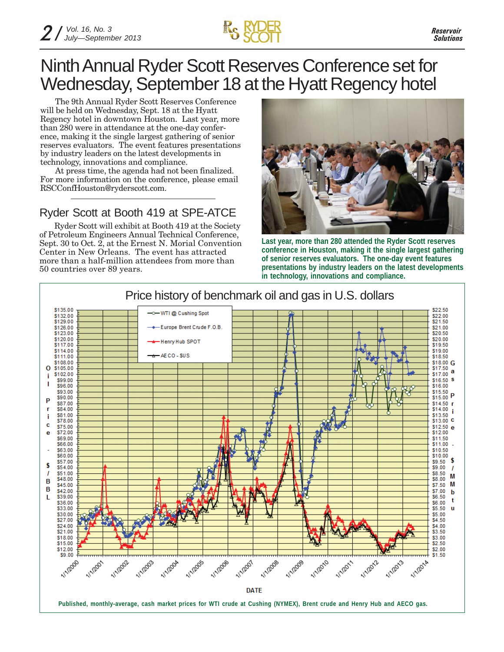

### Ninth Annual Ryder Scott Reserves Conference set for Wednesday, September 18 at the Hyatt Regency hotel

The 9th Annual Ryder Scott Reserves Conference will be held on Wednesday, Sept. 18 at the Hyatt Regency hotel in downtown Houston. Last year, more than 280 were in attendance at the one-day conference, making it the single largest gathering of senior reserves evaluators. The event features presentations by industry leaders on the latest developments in technology, innovations and compliance.

At press time, the agenda had not been finalized. For more information on the conference, please email RSCConfHouston@ryderscott.com.

#### Ryder Scott at Booth 419 at SPE-ATCE

Ryder Scott will exhibit at Booth 419 at the Society of Petroleum Engineers Annual Technical Conference, Sept. 30 to Oct. 2, at the Ernest N. Morial Convention Center in New Orleans. The event has attracted more than a half-million attendees from more than 50 countries over 89 years.



**Last year, more than 280 attended the Ryder Scott reserves conference in Houston, making it the single largest gathering of senior reserves evaluators. The one-day event features presentations by industry leaders on the latest developments in technology, innovations and compliance.**

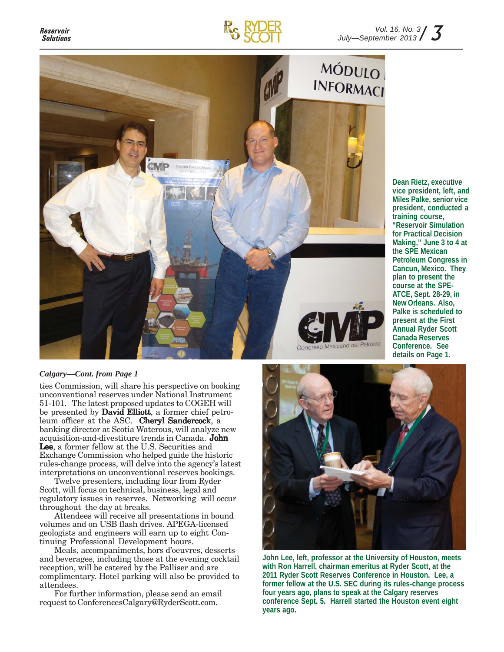



#### *Calgary—Cont. from Page 1*

ties Commission, will share his perspective on booking unconventional reserves under National Instrument 51-101. The latest proposed updates to COGEH will be presented by David Elliott, a former chief petroleum officer at the ASC. Cheryl Sandercock, a banking director at Scotia Waterous, will analyze new acquisition-and-divestiture trends in Canada. John Lee, a former fellow at the U.S. Securities and Exchange Commission who helped guide the historic rules-change process, will delve into the agency's latest interpretations on unconventional reserves bookings.

Twelve presenters, including four from Ryder Scott, will focus on technical, business, legal and regulatory issues in reserves. Networking will occur throughout the day at breaks.

Attendees will receive all presentations in bound volumes and on USB flash drives. APEGA-licensed geologists and engineers will earn up to eight Continuing Professional Development hours.

Meals, accompaniments, hors d'oeuvres, desserts and beverages, including those at the evening cocktail reception, will be catered by the Palliser and are complimentary. Hotel parking will also be provided to attendees.

For further information, please send an email request to ConferencesCalgary@RyderScott.com.



**John Lee, left, professor at the University of Houston, meets with Ron Harrell, chairman emeritus at Ryder Scott, at the 2011 Ryder Scott Reserves Conference in Houston. Lee, a former fellow at the U.S. SEC during its rules-change process four years ago, plans to speak at the Calgary reserves conference Sept. 5. Harrell started the Houston event eight years ago.**

**Dean Rietz, executive vice president, left, and Miles Palke, senior vice president, conducted a training course, "Reservoir Simulation for Practical Decision Making," June 3 to 4 at the SPE Mexican Petroleum Congress in Cancun, Mexico. They plan to present the course at the SPE-ATCE, Sept. 28-29, in New Orleans. Also, Palke is scheduled to present at the First Annual Ryder Scott Canada Reserves Conference. See details on Page 1.**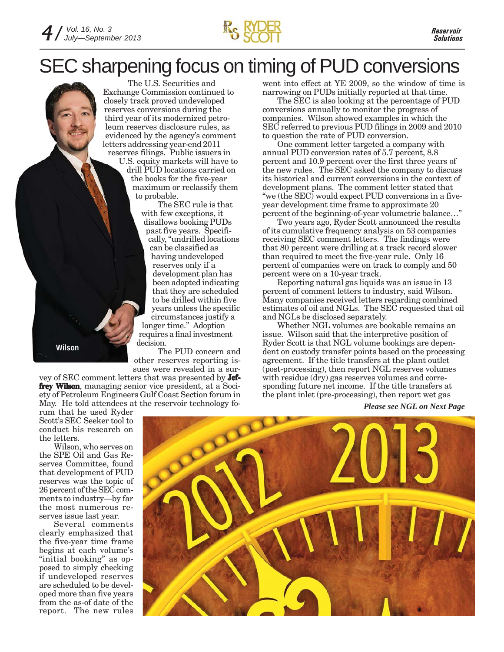

## SEC sharpening focus on timing of PUD conversions



U.S. equity markets will have to drill PUD locations carried on the books for the five-year maximum or reclassify them to probable.

The SEC rule is that with few exceptions, it disallows booking PUDs past five years. Specifically, "undrilled locations can be classified as having undeveloped reserves only if a development plan has been adopted indicating that they are scheduled to be drilled within five years unless the specific circumstances justify a longer time." Adoption requires a final investment decision.

The PUD concern and other reserves reporting issues were revealed in a sur-

**Wilson**

vey of SEC comment letters that was presented by **Jeffrey Wilson**, managing senior vice president, at a Society of Petroleum Engineers Gulf Coast Section forum in May. He told attendees at the reservoir technology fowent into effect at YE 2009, so the window of time is narrowing on PUDs initially reported at that time.

The SEC is also looking at the percentage of PUD conversions annually to monitor the progress of companies. Wilson showed examples in which the SEC referred to previous PUD filings in 2009 and 2010 to question the rate of PUD conversion.

One comment letter targeted a company with annual PUD conversion rates of 5.7 percent, 8.8 percent and 10.9 percent over the first three years of the new rules. The SEC asked the company to discuss its historical and current conversions in the context of development plans. The comment letter stated that "we (the SEC) would expect PUD conversions in a fiveyear development time frame to approximate 20 percent of the beginning-of-year volumetric balance…"

Two years ago, Ryder Scott announced the results of its cumulative frequency analysis on 53 companies receiving SEC comment letters. The findings were that 80 percent were drilling at a track record slower than required to meet the five-year rule. Only 16 percent of companies were on track to comply and 50 percent were on a 10-year track.

Reporting natural gas liquids was an issue in 13 percent of comment letters to industry, said Wilson. Many companies received letters regarding combined estimates of oil and NGLs. The SEC requested that oil and NGLs be disclosed separately.

Whether NGL volumes are bookable remains an issue. Wilson said that the interpretive position of Ryder Scott is that NGL volume bookings are dependent on custody transfer points based on the processing agreement. If the title transfers at the plant outlet (post-processing), then report NGL reserves volumes with residue (dry) gas reserves volumes and corresponding future net income. If the title transfers at the plant inlet (pre-processing), then report wet gas

*Please see NGL on Next Page*

rum that he used Ryder Scott's SEC Seeker tool to conduct his research on the letters.

Wilson, who serves on the SPE Oil and Gas Reserves Committee, found that development of PUD reserves was the topic of 26 percent of the SEC comments to industry—by far the most numerous reserves issue last year.

Several comments clearly emphasized that the five-year time frame begins at each volume's "initial booking" as opposed to simply checking if undeveloped reserves are scheduled to be developed more than five years from the as-of date of the report. The new rules

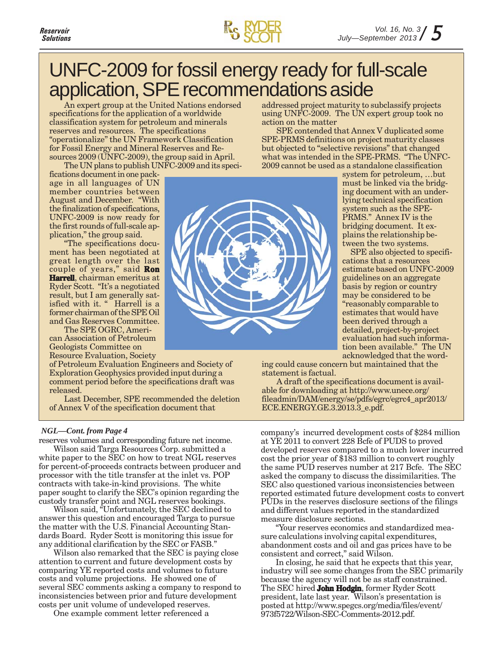

## UNFC-2009 for fossil energy ready for full-scale application, SPE recommendations aside

An expert group at the United Nations endorsed specifications for the application of a worldwide classification system for petroleum and minerals reserves and resources. The specifications "operationalize" the UN Framework Classification for Fossil Energy and Mineral Reserves and Resources 2009 (UNFC-2009), the group said in April. The UN plans to publish UNFC-2009 and its speci-

fications document in one package in all languages of UN member countries between August and December. "With the finalization of specifications, UNFC-2009 is now ready for the first rounds of full-scale application," the group said.

"The specifications document has been negotiated at great length over the last couple of years," said **Ron Harrell**, chairman emeritus at Ryder Scott. "It's a negotiated result, but I am generally satisfied with it. " Harrell is a former chairman of the SPE Oil and Gas Reserves Committee.

The SPE OGRC, American Association of Petroleum Geologists Committee on Resource Evaluation, Society

of Petroleum Evaluation Engineers and Society of Exploration Geophysics provided input during a comment period before the specifications draft was released.

Last December, SPE recommended the deletion of Annex V of the specification document that

#### *NGL—Cont. from Page 4*

reserves volumes and corresponding future net income.

Wilson said Targa Resources Corp. submitted a white paper to the SEC on how to treat NGL reserves for percent-of-proceeds contracts between producer and processor with the title transfer at the inlet vs. POP contracts with take-in-kind provisions. The white paper sought to clarify the SEC's opinion regarding the custody transfer point and NGL reserves bookings.

Wilson said, "Unfortunately, the SEC declined to answer this question and encouraged Targa to pursue the matter with the U.S. Financial Accounting Standards Board. Ryder Scott is monitoring this issue for any additional clarification by the SEC or FASB."

Wilson also remarked that the SEC is paying close attention to current and future development costs by comparing YE reported costs and volumes to future costs and volume projections. He showed one of several SEC comments asking a company to respond to inconsistencies between prior and future development costs per unit volume of undeveloped reserves.

One example comment letter referenced a

addressed project maturity to subclassify projects using UNFC-2009. The UN expert group took no action on the matter

SPE contended that Annex V duplicated some SPE-PRMS definitions on project maturity classes but objected to "selective revisions" that changed what was intended in the SPE-PRMS. "The UNFC-2009 cannot be used as a standalone classification



system for petroleum, …but must be linked via the bridging document with an underlying technical specification system such as the SPE-PRMS." Annex IV is the bridging document. It explains the relationship between the two systems.

SPE also objected to specifications that a resources estimate based on UNFC-2009 guidelines on an aggregate basis by region or country may be considered to be "reasonably comparable to estimates that would have been derived through a detailed, project-by-project evaluation had such information been available." The UN acknowledged that the word-

ing could cause concern but maintained that the statement is factual.

A draft of the specifications document is available for downloading at http://www.unece.org/ fileadmin/DAM/energy/se/pdfs/egrc/egrc4\_apr2013/ ECE.ENERGY.GE.3.2013.3\_e.pdf.

company's incurred development costs of \$284 million at YE 2011 to convert 228 Bcfe of PUDS to proved developed reserves compared to a much lower incurred cost the prior year of \$183 million to convert roughly the same PUD reserves number at 217 Bcfe. The SEC asked the company to discuss the dissimilarities. The SEC also questioned various inconsistencies between reported estimated future development costs to convert PUDs in the reserves disclosure sections of the filings and different values reported in the standardized measure disclosure sections.

"Your reserves economics and standardized measure calculations involving capital expenditures, abandonment costs and oil and gas prices have to be consistent and correct," said Wilson.

In closing, he said that he expects that this year, industry will see some changes from the SEC primarily because the agency will not be as staff constrained. The SEC hired **John Hodgin**, former Ryder Scott president, late last year. Wilson's presentation is posted at http://www.spegcs.org/media/files/event/ 973f5722/Wilson-SEC-Comments-2012.pdf.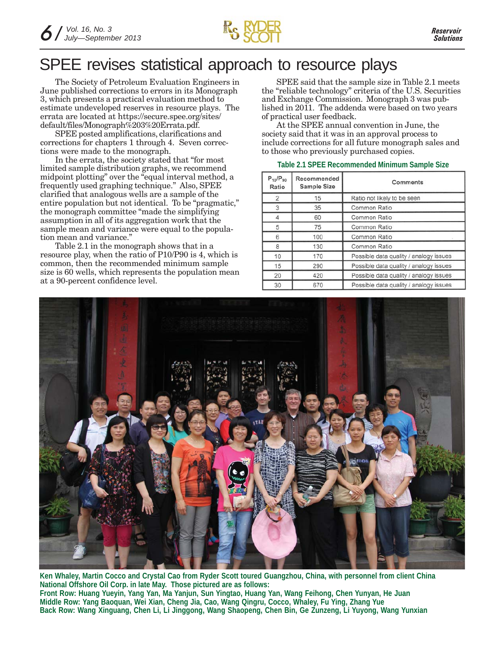

### SPEE revises statistical approach to resource plays

The Society of Petroleum Evaluation Engineers in June published corrections to errors in its Monograph 3, which presents a practical evaluation method to estimate undeveloped reserves in resource plays. The errata are located at https://secure.spee.org/sites/ default/files/Monograph%203%20Errata.pdf.

SPEE posted amplifications, clarifications and corrections for chapters 1 through 4. Seven corrections were made to the monograph.

In the errata, the society stated that "for most limited sample distribution graphs, we recommend midpoint plotting" over the "equal interval method, a frequently used graphing technique." Also, SPEE clarified that analogous wells are a sample of the entire population but not identical. To be "pragmatic," the monograph committee "made the simplifying assumption in all of its aggregation work that the sample mean and variance were equal to the population mean and variance."

Table 2.1 in the monograph shows that in a resource play, when the ratio of P10/P90 is 4, which is common, then the recommended minimum sample size is 60 wells, which represents the population mean at a 90-percent confidence level.

SPEE said that the sample size in Table 2.1 meets the "reliable technology" criteria of the U.S. Securities and Exchange Commission. Monograph 3 was published in 2011. The addenda were based on two years of practical user feedback.

At the SPEE annual convention in June, the society said that it was in an approval process to include corrections for all future monograph sales and to those who previously purchased copies.

| Table 2.1 SPEE Recommended Minimum Sample Size |
|------------------------------------------------|
|------------------------------------------------|

| $P_{10}/P_{90}$<br>Ratio | Recommended<br><b>Sample Size</b> | Comments                               |  |
|--------------------------|-----------------------------------|----------------------------------------|--|
| $\overline{2}$           | 15                                | Ratio not likely to be seen            |  |
| 3                        | 35                                | Common Ratio                           |  |
| 4                        | 60                                | Common Ratio                           |  |
| 5                        | 75                                | Common Ratio                           |  |
| 6                        | 100                               | Common Ratio                           |  |
| 8                        | 130                               | Common Ratio                           |  |
| 10                       | 170                               | Possible data quality / analogy issues |  |
| 15                       | 290                               | Possible data quality / analogy issues |  |
| 20                       | 420                               | Possible data quality / analogy issues |  |
| 30                       | 670                               | Possible data quality / analogy issues |  |



**Ken Whaley, Martin Cocco and Crystal Cao from Ryder Scott toured Guangzhou, China, with personnel from client China National Offshore Oil Corp. in late May. Those pictured are as follows: Front Row: Huang Yueyin, Yang Yan, Ma Yanjun, Sun Yingtao, Huang Yan, Wang Feihong, Chen Yunyan, He Juan Middle Row: Yang Baoquan, Wei Xian, Cheng Jia, Cao, Wang Qingru, Cocco, Whaley, Fu Ying, Zhang Yue Back Row: Wang Xinguang, Chen Li, Li Jinggong, Wang Shaopeng, Chen Bin, Ge Zunzeng, Li Yuyong, Wang Yunxian**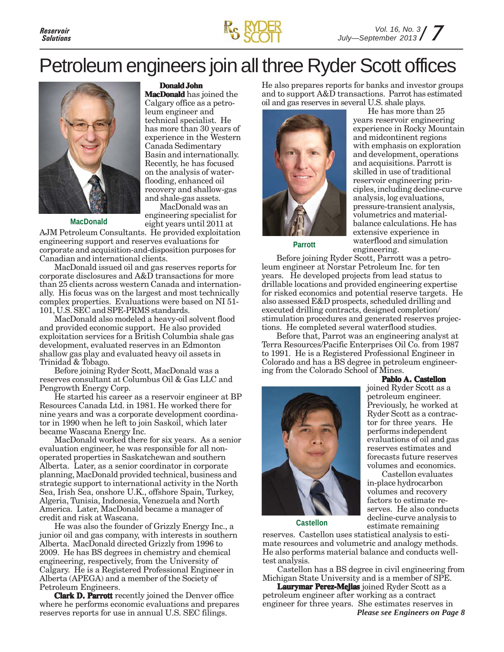

## Petroleum engineers join all three Ryder Scott offices



**Donald John**

**MacDonald** has joined the Calgary office as a petroleum engineer and technical specialist. He has more than 30 years of experience in the Western Canada Sedimentary Basin and internationally. Recently, he has focused on the analysis of waterflooding, enhanced oil recovery and shallow-gas and shale-gas assets.

MacDonald was an engineering specialist for eight years until 2011 at

**MacDonald**

AJM Petroleum Consultants. He provided exploitation engineering support and reserves evaluations for corporate and acquisition-and-disposition purposes for Canadian and international clients.

MacDonald issued oil and gas reserves reports for corporate disclosures and A&D transactions for more than 25 clients across western Canada and internationally. His focus was on the largest and most technically complex properties. Evaluations were based on NI 51- 101, U.S. SEC and SPE-PRMS standards.

MacDonald also modeled a heavy-oil solvent flood and provided economic support. He also provided exploitation services for a British Columbia shale gas development, evaluated reserves in an Edmonton shallow gas play and evaluated heavy oil assets in Trinidad & Tobago.

Before joining Ryder Scott, MacDonald was a reserves consultant at Columbus Oil & Gas LLC and Pengrowth Energy Corp.

He started his career as a reservoir engineer at BP Resources Canada Ltd. in 1981. He worked there for nine years and was a corporate development coordinator in 1990 when he left to join Saskoil, which later became Wascana Energy Inc.

MacDonald worked there for six years. As a senior evaluation engineer, he was responsible for all nonoperated properties in Saskatchewan and southern Alberta. Later, as a senior coordinator in corporate planning, MacDonald provided technical, business and strategic support to international activity in the North Sea, Irish Sea, onshore U.K., offshore Spain, Turkey, Algeria, Tunisia, Indonesia, Venezuela and North America. Later, MacDonald became a manager of credit and risk at Wascana.

He was also the founder of Grizzly Energy Inc., a junior oil and gas company, with interests in southern Alberta. MacDonald directed Grizzly from 1996 to 2009. He has BS degrees in chemistry and chemical engineering, respectively, from the University of Calgary. He is a Registered Professional Engineer in Alberta (APEGA) and a member of the Society of Petroleum Engineers.

**Clark D. Parrott** recently joined the Denver office where he performs economic evaluations and prepares reserves reports for use in annual U.S. SEC filings.

He also prepares reports for banks and investor groups and to support A&D transactions. Parrot has estimated oil and gas reserves in several U.S. shale plays.



He has more than 25 years reservoir engineering experience in Rocky Mountain and midcontinent regions with emphasis on exploration and development, operations and acquisitions. Parrott is skilled in use of traditional reservoir engineering principles, including decline-curve analysis, log evaluations, pressure-transient analysis, volumetrics and materialbalance calculations. He has extensive experience in waterflood and simulation engineering. **Parrott**

Before joining Ryder Scott, Parrott was a petroleum engineer at Norstar Petroleum Inc. for ten years. He developed projects from lead status to drillable locations and provided engineering expertise for risked economics and potential reserve targets. He also assessed E&D prospects, scheduled drilling and executed drilling contracts, designed completion/ stimulation procedures and generated reserves projections. He completed several waterflood studies.

Before that, Parrot was an engineering analyst at Terra Resources/Pacific Enterprises Oil Co. from 1987 to 1991. He is a Registered Professional Engineer in Colorado and has a BS degree in petroleum engineering from the Colorado School of Mines.

#### **Pablo A. Castellon**



joined Ryder Scott as a petroleum engineer. Previously, he worked at Ryder Scott as a contractor for three years. He performs independent evaluations of oil and gas reserves estimates and forecasts future reserves volumes and economics.

Castellon evaluates in-place hydrocarbon volumes and recovery factors to estimate reserves. He also conducts decline-curve analysis to estimate remaining

**Castellon**

reserves. Castellon uses statistical analysis to estimate resources and volumetric and analogy methods. He also performs material balance and conducts welltest analysis.

Castellon has a BS degree in civil engineering from Michigan State University and is a member of SPE.

**Laurymar Perez-Mejias** joined Ryder Scott as a petroleum engineer after working as a contract engineer for three years. She estimates reserves in *Please see Engineers on Page 8*